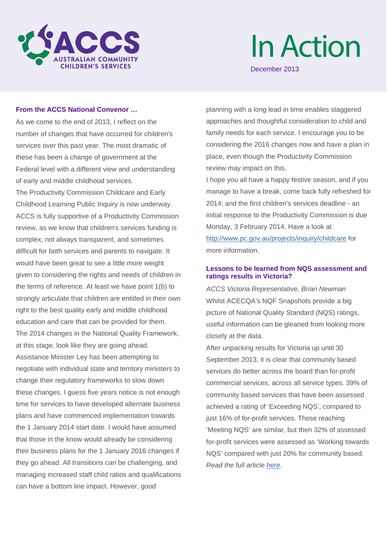

# InAction

December 2013

## **From the ACCS National Convenor …**

As we come to the end of 2013, I reflect on the number of changes that have occurred for children's services over this past year. The most dramatic of these has been a change of government at the Federal level with a different view and understanding of early and middle childhood services. The Productivity Commission Childcare and Early Childhood Learning Public Inquiry is now underway. ACCS is fully supportive of a Productivity Commission review, as we know that children's services funding is complex, not always transparent, and sometimes difficult for both services and parents to navigate. It would have been great to see a little more weight given to considering the rights and needs of children in the terms of reference. At least we have point 1(b) to strongly articulate that children are entitled in their own right to the best quality early and middle childhood education and care that can be provided for them. The 2014 changes in the National Quality Framework, at this stage, look like they are going ahead. Assistance Minister Ley has been attempting to negotiate with individual state and territory ministers to change their regulatory frameworks to slow down these changes. I guess five years notice is not enough time for services to have developed alternate business plans and have commenced implementation towards the 1 January 2014 start date. I would have assumed that those in the know would already be considering their business plans for the 1 January 2016 changes if they go ahead. All transitions can be challenging, and managing increased staff child ratios and qualifications can have a bottom line impact. However, good

planning with a long lead in time enables staggered approaches and thoughtful consideration to child and family needs for each service. I encourage you to be considering the 2016 changes now and have a plan in place, even though the Productivity Commission review may impact on this.

I hope you all have a happy festive season, and if you manage to have a break, come back fully refreshed for 2014; and the first children's services deadline - an initial response to the Productivity Commission is due Monday, 3 February 2014. Have a look at [http://www.pc.gov.au/projects/inquiry/childcare](http://cccinc.us2.list-manage1.com/track/click?u=8f18b0f5d51d13887429e6222&id=6cc7ae8ae0&e=1df94dd6d0) for more information.

# **Lessons to be learned from NQS assessment and ratings results in Victoria?**

*ACCS Victoria Representative, Brian Newman* Whilst ACECQA's NQF Snapshots provide a big picture of National Quality Standard (NQS) ratings, useful information can be gleaned from looking more closely at the data.

After unpacking results for Victoria up until 30 September 2013, it is clear that community based services do better across the board than for-profit commercial services, across all service types. 39% of community based services that have been assessed achieved a rating of 'Exceeding NQS', compared to just 16% of for-profit services. Those reaching 'Meeting NQS' are similar, but then 32% of assessed for-profit services were assessed as 'Working towards NQS' compared with just 20% for community based. *Read the full article [here](http://cccinc.us2.list-manage.com/track/click?u=8f18b0f5d51d13887429e6222&id=abc7cce129&e=1df94dd6d0)*.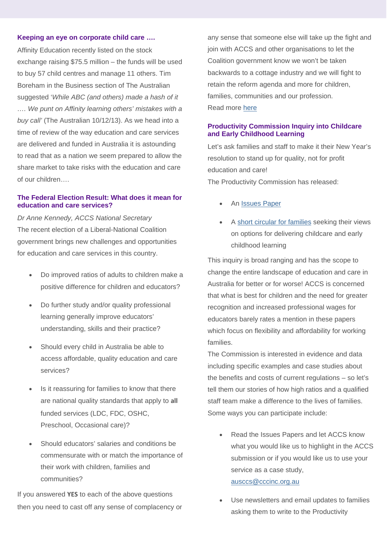#### **Keeping an eye on corporate child care ….**

Affinity Education recently listed on the stock exchange raising \$75.5 million – the funds will be used to buy 57 child centres and manage 11 others. Tim Boreham in the Business section of The Australian suggested '*While ABC (and others) made a hash of it …. We punt on Affinity learning others' mistakes with a buy call'* (The Australian 10/12/13). As we head into a time of review of the way education and care services are delivered and funded in Australia it is astounding to read that as a nation we seem prepared to allow the share market to take risks with the education and care of our children….

# **The Federal Election Result: What does it mean for education and care services?**

*Dr Anne Kennedy, ACCS National Secretary* The recent election of a Liberal-National Coalition government brings new challenges and opportunities for education and care services in this country.

- Do improved ratios of adults to children make a positive difference for children and educators?
- Do further study and/or quality professional learning generally improve educators' understanding, skills and their practice?
- Should every child in Australia be able to access affordable, quality education and care services?
- Is it reassuring for families to know that there are national quality standards that apply to **all**  funded services (LDC, FDC, OSHC, Preschool, Occasional care)?
- Should educators' salaries and conditions be commensurate with or match the importance of their work with children, families and communities?

If you answered **YES** to each of the above questions then you need to cast off any sense of complacency or any sense that someone else will take up the fight and join with ACCS and other organisations to let the Coalition government know we won't be taken backwards to a cottage industry and we will fight to retain the reform agenda and more for children, families, communities and our profession. Read more [here](http://cccinc.us2.list-manage1.com/track/click?u=8f18b0f5d51d13887429e6222&id=56d9c283e0&e=1df94dd6d0)

## **Productivity Commission Inquiry into Childcare and Early Childhood Learning**

Let's ask families and staff to make it their New Year's resolution to stand up for quality, not for profit education and care! The Productivity Commission has released:

- An [Issues Paper](http://cccinc.us2.list-manage.com/track/click?u=8f18b0f5d51d13887429e6222&id=e82253c7f5&e=1df94dd6d0)
- A [short circular for families](http://cccinc.us2.list-manage1.com/track/click?u=8f18b0f5d51d13887429e6222&id=3f544232f5&e=1df94dd6d0) seeking their views on options for delivering childcare and early childhood learning

This inquiry is broad ranging and has the scope to change the entire landscape of education and care in Australia for better or for worse! ACCS is concerned that what is best for children and the need for greater recognition and increased professional wages for educators barely rates a mention in these papers which focus on flexibility and affordability for working families.

The Commission is interested in evidence and data including specific examples and case studies about the benefits and costs of current regulations – so let's tell them our stories of how high ratios and a qualified staff team make a difference to the lives of families. Some ways you can participate include:

- Read the Issues Papers and let ACCS know what you would like us to highlight in the ACCS submission or if you would like us to use your service as a case study, [ausccs@cccinc.org.au](mailto:ausccs@cccinc.org.au)
- Use newsletters and email updates to families asking them to write to the Productivity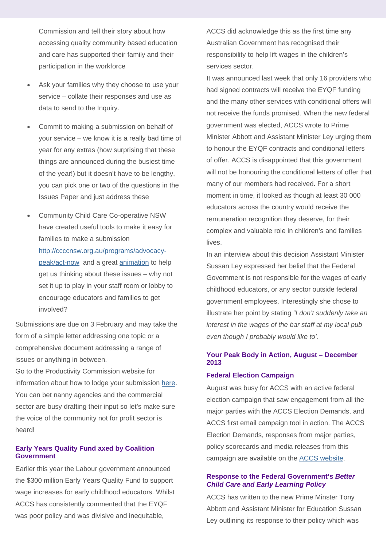Commission and tell their story about how accessing quality community based education and care has supported their family and their participation in the workforce

- Ask your families why they choose to use your service – collate their responses and use as data to send to the Inquiry.
- Commit to making a submission on behalf of your service – we know it is a really bad time of year for any extras (how surprising that these things are announced during the busiest time of the year!) but it doesn't have to be lengthy, you can pick one or two of the questions in the Issues Paper and just address these
- Community Child Care Co-operative NSW have created useful tools to make it easy for families to make a submission [http://ccccnsw.org.au/programs/advocacy](http://cccinc.us2.list-manage.com/track/click?u=8f18b0f5d51d13887429e6222&id=3fcc126cdb&e=1df94dd6d0)[peak/act-now](http://cccinc.us2.list-manage.com/track/click?u=8f18b0f5d51d13887429e6222&id=3fcc126cdb&e=1df94dd6d0) and a great [animation](http://cccinc.us2.list-manage1.com/track/click?u=8f18b0f5d51d13887429e6222&id=12158bfc79&e=1df94dd6d0) to help get us thinking about these issues – why not set it up to play in your staff room or lobby to encourage educators and families to get involved?

Submissions are due on 3 February and may take the form of a simple letter addressing one topic or a comprehensive document addressing a range of issues or anything in between.

Go to the Productivity Commission website for information about how to lodge your submission [here.](http://cccinc.us2.list-manage1.com/track/click?u=8f18b0f5d51d13887429e6222&id=d1005f1425&e=1df94dd6d0) You can bet nanny agencies and the commercial sector are busy drafting their input so let's make sure the voice of the community not for profit sector is heard!

# **Early Years Quality Fund axed by Coalition Government**

Earlier this year the Labour government announced the \$300 million Early Years Quality Fund to support wage increases for early childhood educators. Whilst ACCS has consistently commented that the EYQF was poor policy and was divisive and inequitable,

ACCS did acknowledge this as the first time any Australian Government has recognised their responsibility to help lift wages in the children's services sector.

It was announced last week that only 16 providers who had signed contracts will receive the EYQF funding and the many other services with conditional offers will not receive the funds promised. When the new federal government was elected, ACCS wrote to Prime Minister Abbott and Assistant Minister Ley urging them to honour the EYQF contracts and conditional letters of offer. ACCS is disappointed that this government will not be honouring the conditional letters of offer that many of our members had received. For a short moment in time, it looked as though at least 30 000 educators across the country would receive the remuneration recognition they deserve, for their complex and valuable role in children's and families lives.

In an interview about this decision Assistant Minister Sussan Ley expressed her belief that the Federal Government is not responsible for the wages of early childhood educators, or any sector outside federal government employees. Interestingly she chose to illustrate her point by stating *"I don't suddenly take an interest in the wages of the bar staff at my local pub even though I probably would like to'.* 

# **Your Peak Body in Action, August – December 2013**

#### **Federal Election Campaign**

August was busy for ACCS with an active federal election campaign that saw engagement from all the major parties with the ACCS Election Demands, and ACCS first email campaign tool in action. The ACCS Election Demands, responses from major parties, policy scorecards and media releases from this campaign are available on the [ACCS website.](http://cccinc.us2.list-manage.com/track/click?u=8f18b0f5d51d13887429e6222&id=db6b9d4d2b&e=1df94dd6d0)

#### **Response to the Federal Government's** *Better Child Care and Early Learning Policy*

ACCS has written to the new Prime Minster Tony Abbott and Assistant Minister for Education Sussan Ley outlining its response to their policy which was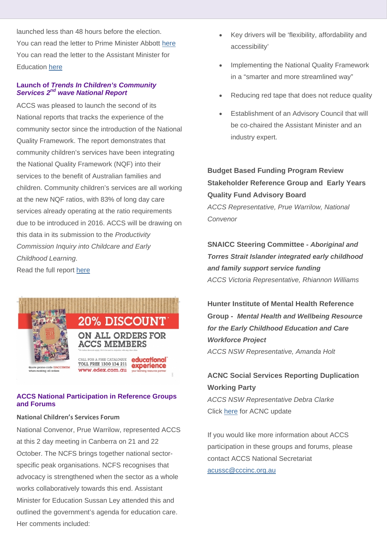launched less than 48 hours before the election. You can read the letter to Prime Minister Abbott [here](http://cccinc.us2.list-manage.com/track/click?u=8f18b0f5d51d13887429e6222&id=463244d837&e=1df94dd6d0) You can read the letter to the Assistant Minister for Education [here](http://cccinc.us2.list-manage.com/track/click?u=8f18b0f5d51d13887429e6222&id=4e870fe392&e=1df94dd6d0)

# **Launch of** *Trends In Children's Community Services 2nd wave National Report*

ACCS was pleased to launch the second of its National reports that tracks the experience of the community sector since the introduction of the National Quality Framework. The report demonstrates that community children's services have been integrating the National Quality Framework (NQF) into their services to the benefit of Australian families and children. Community children's services are all working at the new NQF ratios, with 83% of long day care services already operating at the ratio requirements due to be introduced in 2016. ACCS will be drawing on this data in its submission to the *Productivity Commission Inquiry into Childcare and Early Childhood Learning*. Read the full report [here](http://cccinc.us2.list-manage.com/track/click?u=8f18b0f5d51d13887429e6222&id=252e0cef0b&e=1df94dd6d0)



# **ACCS National Participation in Reference Groups and Forums**

# **National Children's Services Forum**

National Convenor, Prue Warrilow, represented ACCS at this 2 day meeting in Canberra on 21 and 22 October. The NCFS brings together national sectorspecific peak organisations. NCFS recognises that advocacy is strengthened when the sector as a whole works collaboratively towards this end. Assistant Minister for Education Sussan Ley attended this and outlined the government's agenda for education care. Her comments included:

- Key drivers will be 'flexibility, affordability and accessibility'
- Implementing the National Quality Framework in a "smarter and more streamlined way"
- Reducing red tape that does not reduce quality
- Establishment of an Advisory Council that will be co-chaired the Assistant Minister and an industry expert.

**Budget Based Funding Program Review Stakeholder Reference Group and Early Years Quality Fund Advisory Board** *ACCS Representative, Prue Warrilow, National Convenor*

**SNAICC Steering Committee** *- Aboriginal and Torres Strait Islander integrated early childhood and family support service funding ACCS Victoria Representative, Rhiannon Williams*

**Hunter Institute of Mental Health Reference Group -** *Mental Health and Wellbeing Resource for the Early Childhood Education and Care Workforce Project ACCS NSW Representative, Amanda Holt*

# **ACNC Social Services Reporting Duplication Working Party**

*ACCS NSW Representative Debra Clarke* Click [here](http://cccinc.us2.list-manage.com/track/click?u=8f18b0f5d51d13887429e6222&id=96b0de9eaf&e=1df94dd6d0) for ACNC update

If you would like more information about ACCS participation in these groups and forums, please contact ACCS National Secretariat [acussc@cccinc.org.au](mailto:ausccs@cccinc.org.au)